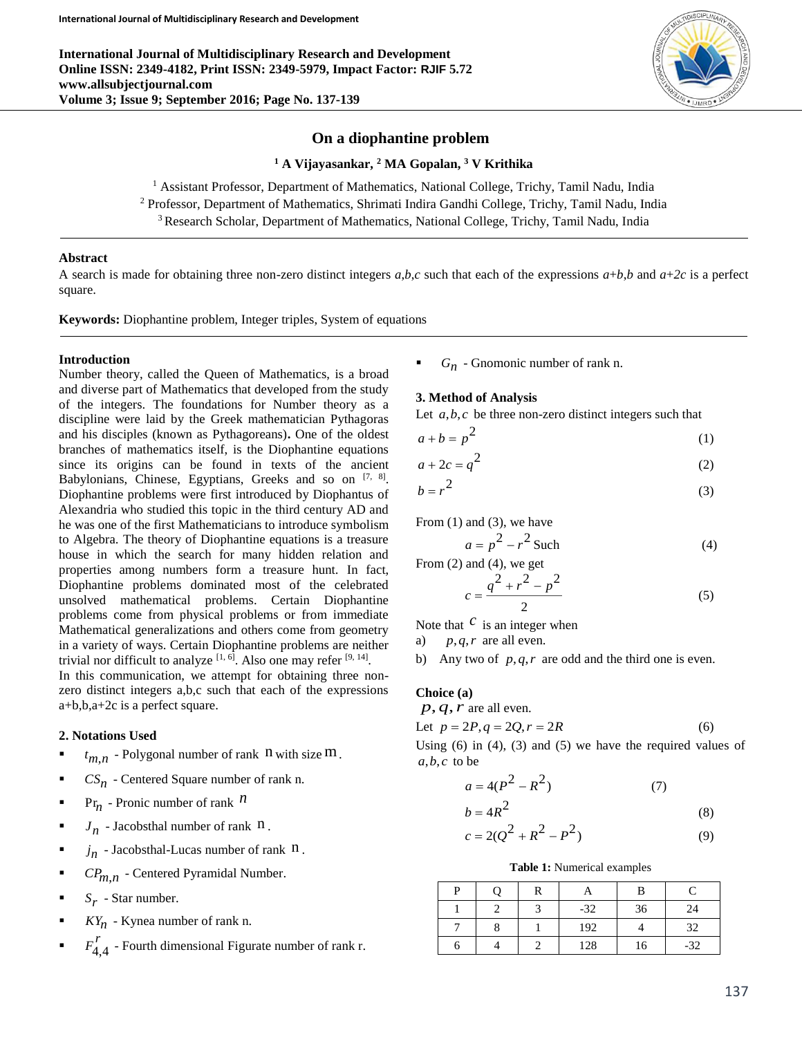**International Journal of Multidisciplinary Research and Development Online ISSN: 2349-4182, Print ISSN: 2349-5979, Impact Factor: RJIF 5.72 www.allsubjectjournal.com Volume 3; Issue 9; September 2016; Page No. 137-139**



# **On a diophantine problem**

#### **<sup>1</sup> A Vijayasankar, <sup>2</sup> MA Gopalan, <sup>3</sup> V Krithika**

<sup>1</sup> Assistant Professor, Department of Mathematics, National College, Trichy, Tamil Nadu, India <sup>2</sup> Professor, Department of Mathematics, Shrimati Indira Gandhi College, Trichy, Tamil Nadu, India <sup>3</sup> Research Scholar, Department of Mathematics, National College, Trichy, Tamil Nadu, India

### **Abstract**

A search is made for obtaining three non-zero distinct integers  $a,b,c$  such that each of the expressions  $a+b,b$  and  $a+2c$  is a perfect square.

**Keywords:** Diophantine problem, Integer triples, System of equations

#### **Introduction**

Number theory, called the Queen of Mathematics, is a broad and diverse part of Mathematics that developed from the study of the integers. The foundations for Number theory as a discipline were laid by the Greek mathematician Pythagoras and his disciples (known as Pythagoreans)**.** One of the oldest branches of mathematics itself, is the Diophantine equations since its origins can be found in texts of the ancient Babylonians, Chinese, Egyptians, Greeks and so on [7, 8]. Diophantine problems were first introduced by Diophantus of Alexandria who studied this topic in the third century AD and he was one of the first Mathematicians to introduce symbolism to Algebra. The theory of Diophantine equations is a treasure house in which the search for many hidden relation and properties among numbers form a treasure hunt. In fact, Diophantine problems dominated most of the celebrated unsolved mathematical problems. Certain Diophantine problems come from physical problems or from immediate Mathematical generalizations and others come from geometry in a variety of ways. Certain Diophantine problems are neither trivial nor difficult to analyze  $[1, 6]$ . Also one may refer  $[9, 14]$ .

In this communication, we attempt for obtaining three nonzero distinct integers a,b,c such that each of the expressions a+b,b,a+2c is a perfect square.

#### **2. Notations Used**

- $t_{m,n}$  Polygonal number of rank  $n$  with size  $m$ .
- $\bullet$  *CS<sub>n</sub>* Centered Square number of rank n.
- Pr<sub>n</sub> Pronic number of rank  $n$
- $J_n$  Jacobsthal number of rank  $n$ .
- $\blacksquare$  *j<sub>n</sub>* Jacobsthal-Lucas number of rank  $\blacksquare$ .
- $\blacksquare$  *CP<sub>m,n</sub>* Centered Pyramidal Number.
- $S_r$  Star number.
- **KY**<sub>n</sub> Kynea number of rank n.
- . *r <sup>F</sup>*4,4 - Fourth dimensional Figurate number of rank r.

 $G_n$  - Gnomonic number of rank n.

### **3. Method of Analysis**

Let  $a, b, c$  be three non-zero distinct integers such that

$$
a + b = p^2 \tag{1}
$$

$$
a + 2c = q^2 \tag{2}
$$

$$
b = r^2 \tag{3}
$$

From  $(1)$  and  $(3)$ , we have

$$
a = p^2 - r^2
$$
 Such (4)

From (2) and (4), we get

$$
c = \frac{q^2 + r^2 - p^2}{2}
$$
 (5)

Note that  $c$  is an integer when

a) *p*,*q*,*<sup>r</sup>* are all even.

*b*  $\frac{1}{2}$ 

b) Any two of  $p, q, r$  are odd and the third one is even.

## **Choice (a)**

$$
p, q, r \text{ are all even.}
$$
  
Let  $p = 2P, q = 2Q, r = 2R$  (6)  
Using (6) in (4) (3) and (5) we have the required values

Using (6) in (4), (3) and (5) we have the required values of  $a, b, c$  to be

$$
a = 4(P^2 - R^2) \tag{7}
$$

$$
=4R^2\tag{8}
$$

$$
c = 2(Q^2 + R^2 - P^2)
$$
 (9)

### **Table 1:** Numerical examples

| D |  |       | R  |       |
|---|--|-------|----|-------|
|   |  | $-32$ | 36 | 24    |
|   |  | 192   |    | 32.   |
|   |  | 128   |    | $-32$ |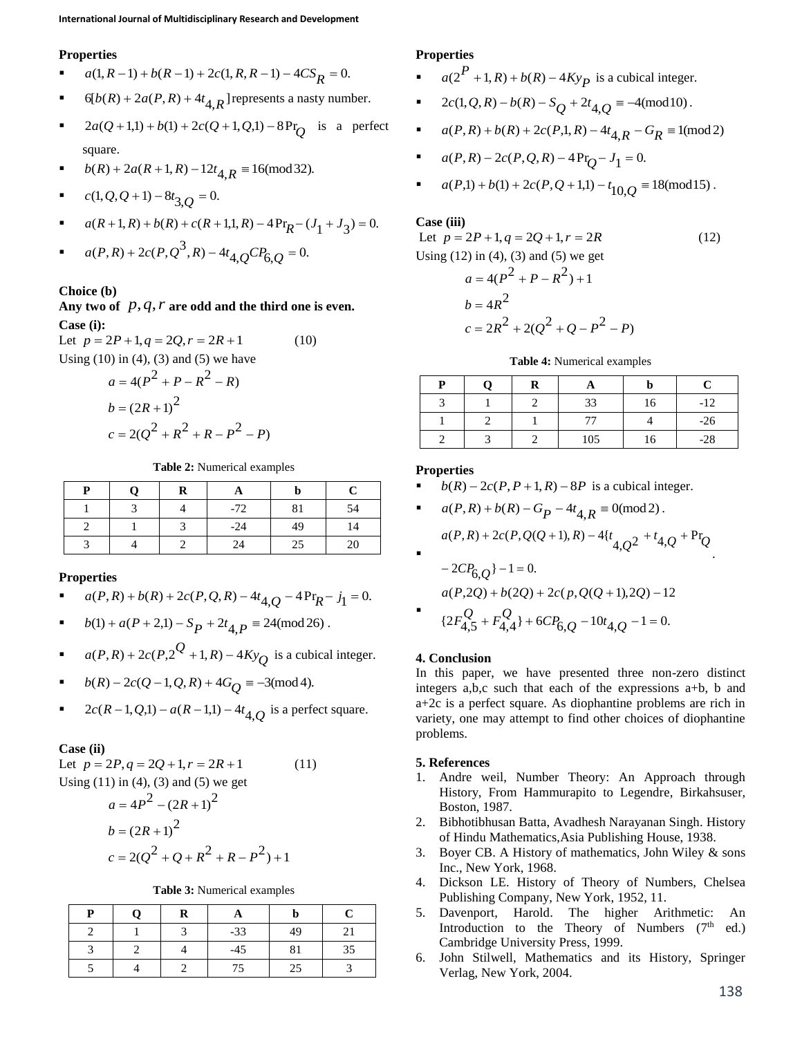## **Properties**

- $a(1, R-1) + b(R-1) + 2c(1, R, R-1) 4CS_R = 0.$
- $\bullet$  6[ $b(R) + 2a(P, R) + 4t_{A,R}$ ] represents a nasty number.
- **a**  $2a(Q+1,1) + b(1) + 2c(Q+1, Q,1) 8Pr_Q$  is a perfect square.

$$
\bullet \qquad b(R) + 2a(R+1,R) - 12t_{4,R} \equiv 16 \pmod{32}.
$$

 $c(1, Q, Q+1) - 8t_{3,Q} = 0.$ 

• 
$$
a(R+1, R) + b(R) + c(R+1, 1, R) - 4\Pr_R - (J_1 + J_3) = 0.
$$

• 
$$
a(P,R) + 2c(P,Q^3,R) - 4t_{4,Q}CP_{6,Q} = 0.
$$

### **Choice (b)**

**Any two of**  *p*,*q*,*<sup>r</sup>* **are odd and the third one is even. Case (i):**

Let  $p = 2P + 1, q = 2Q, r = 2R + 1$ (10) Using  $(10)$  in  $(4)$ ,  $(3)$  and  $(5)$  we have

$$
a = 4(P2 + P - R2 - R)
$$
  
b = (2R + 1)<sup>2</sup>  
c = 2(Q<sup>2</sup> + R<sup>2</sup> + R - P<sup>2</sup> - P)

**Table 2:** Numerical examples

| D | R |       |    | $\mathsf{C}$ |
|---|---|-------|----|--------------|
|   |   | $-72$ | 81 | 54           |
|   |   | $-24$ | 49 | 14           |
|   |   | 24    | 25 | 20           |

## **Properties**

$$
\bullet \qquad a(P,R) + b(R) + 2c(P,Q,R) - 4t_{4,Q} - 4\Pr_R - j_1 = 0.
$$

- $b(1) + a(P + 2,1) S_P + 2t_{4,P} \equiv 24 \pmod{26}.$
- *a*(*P*, *R*) + 2*c*(*P*, 2<sup>*Q*</sup> + 1, *R*) 4*Ky*<sub>*Q*</sub> is a cubical integer.
- *b*  $(k) 2c(Q-1, Q, R) + 4G_Q \equiv -3(\text{mod }4).$
- **a**  $2c(R-1, Q, 1) a(R-1, 1) 4t_{4, Q}$  is a perfect square.

### **Case (ii)**

Let  $p = 2P$ ,  $q = 2Q + 1$ ,  $r = 2R + 1$ (11) Using  $(11)$  in  $(4)$ ,  $(3)$  and  $(5)$  we get  $a = 4P^2 - (2R + 1)^2$  $b = (2R + 1)^2$  $c = 2(Q^2 + Q + R^2 + R - P^2) + 1$ 

**Table 3:** Numerical examples

| D | R |       | b  |    |
|---|---|-------|----|----|
|   |   | $-33$ | 49 | 21 |
|   |   | $-45$ | 81 | 35 |
|   |   | 75    | 25 |    |

## **Properties**

- $a(2^P + 1, R) + b(R) 4Ky_P$  is a cubical integer.
- **4**  $2c(1, Q, R) b(R) S_Q + 2t_{4,Q} \equiv -4 \pmod{10}.$
- $a(P, R) + b(R) + 2c(P, 1, R) 4t_{4,R} G_R \equiv 1 \pmod{2}$
- $a(P, R) 2c(P, Q, R) 4Pr_{Q} J_1 = 0.$
- $a(P,1) + b(1) + 2c(P, Q + 1, 1) t_{10,Q} \equiv 18 \pmod{15}.$

## **Case (iii)**

Let 
$$
p = 2P + 1, q = 2Q + 1, r = 2R
$$
 (12)  
\nUsing (12) in (4), (3) and (5) we get  
\n $a = 4(P^2 + P - R^2) + 1$   
\n $b = 4R^2$   
\n $c = 2R^2 + 2(Q^2 + Q - P^2 - P)$ 



| D | 0 | R |     |    | L.    |
|---|---|---|-----|----|-------|
|   |   |   | 33  | 16 | $-12$ |
|   |   |   | 77  |    | $-26$ |
|   |   |   | 105 | 16 | $-28$ |

#### **Properties**

- $b(R) 2c(P, P + 1, R) 8P$  is a cubical integer.
- $a(P,R) + b(R) G_P 4t_{4,R} \equiv 0 \pmod{2}$ .

$$
a(P,R) + 2c(P,Q(Q+1),R) - 4\{t_{4,Q}2 + t_{4,Q} + Pr_{Q}
$$

$$
-2CP6,Q - 1 = 0.
$$
  
\n
$$
a(P,2Q) + b(2Q) + 2c(p,Q(Q+1),2Q) - 12
$$
  
\n
$$
\{2F4,5Q + F4,4Q + 6CP6,Q - 10t4,Q - 1 = 0.
$$

### **4. Conclusion**

In this paper, we have presented three non-zero distinct integers a,b,c such that each of the expressions a+b, b and a+2c is a perfect square. As diophantine problems are rich in variety, one may attempt to find other choices of diophantine problems.

#### **5. References**

- 1. Andre weil, Number Theory: An Approach through History, From Hammurapito to Legendre, Birkahsuser, Boston, 1987.
- 2. Bibhotibhusan Batta, Avadhesh Narayanan Singh. History of Hindu Mathematics,Asia Publishing House, 1938.
- 3. Boyer CB. A History of mathematics, John Wiley & sons Inc., New York, 1968.
- 4. Dickson LE. History of Theory of Numbers, Chelsea Publishing Company, New York, 1952, 11.
- 5. Davenport, Harold. The higher Arithmetic: An Introduction to the Theory of Numbers  $(7<sup>th</sup>$  ed.) Cambridge University Press, 1999.
- 6. John Stilwell, Mathematics and its History, Springer Verlag, New York, 2004.